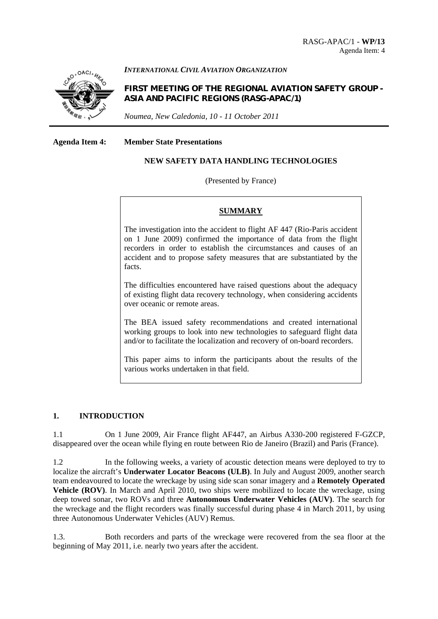

#### *INTERNATIONAL CIVIL AVIATION ORGANIZATION*

**FIRST MEETING OF THE REGIONAL AVIATION SAFETY GROUP - ASIA AND PACIFIC REGIONS (RASG-APAC/1)** 

*Noumea, New Caledonia, 10 - 11 October 2011*

**Agenda Item 4: Member State Presentations** 

## **NEW SAFETY DATA HANDLING TECHNOLOGIES**

#### (Presented by France)

#### **SUMMARY**

The investigation into the accident to flight AF 447 (Rio-Paris accident on 1 June 2009) confirmed the importance of data from the flight recorders in order to establish the circumstances and causes of an accident and to propose safety measures that are substantiated by the facts.

The difficulties encountered have raised questions about the adequacy of existing flight data recovery technology, when considering accidents over oceanic or remote areas.

The BEA issued safety recommendations and created international working groups to look into new technologies to safeguard flight data and/or to facilitate the localization and recovery of on-board recorders.

This paper aims to inform the participants about the results of the various works undertaken in that field.

# **1. INTRODUCTION**

1.1 On 1 June 2009, Air France flight AF447, an Airbus A330-200 registered F-GZCP, disappeared over the ocean while flying en route between Rio de Janeiro (Brazil) and Paris (France).

1.2 In the following weeks, a variety of acoustic detection means were deployed to try to localize the aircraft's **Underwater Locator Beacons (ULB)**. In July and August 2009, another search team endeavoured to locate the wreckage by using side scan sonar imagery and a **Remotely Operated Vehicle (ROV)**. In March and April 2010, two ships were mobilized to locate the wreckage, using deep towed sonar, two ROVs and three **Autonomous Underwater Vehicles (AUV)**. The search for the wreckage and the flight recorders was finally successful during phase 4 in March 2011, by using three Autonomous Underwater Vehicles (AUV) Remus.

1.3. Both recorders and parts of the wreckage were recovered from the sea floor at the beginning of May 2011, i.e. nearly two years after the accident.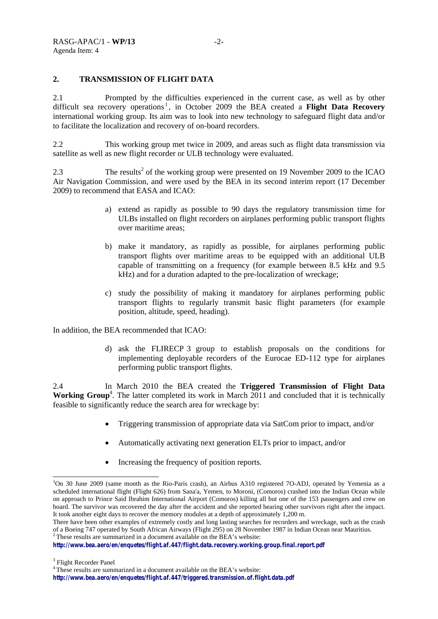### **2. TRANSMISSION OF FLIGHT DATA**

2.1 Prompted by the difficulties experienced in the current case, as well as by other difficult sea recovery operations<sup>1</sup>, in October 2009 the BEA created a **Flight Data Recovery** international working group. Its aim was to look into new technology to safeguard flight data and/or to facilitate the localization and recovery of on-board recorders.

2.2 This working group met twice in 2009, and areas such as flight data transmission via satellite as well as new flight recorder or ULB technology were evaluated.

2.3 The results<sup>2</sup> of the working group were presented on 19 November 2009 to the ICAO Air Navigation Commission, and were used by the BEA in its second interim report (17 December 2009) to recommend that EASA and ICAO:

- a) extend as rapidly as possible to 90 days the regulatory transmission time for ULBs installed on flight recorders on airplanes performing public transport flights over maritime areas;
- b) make it mandatory, as rapidly as possible, for airplanes performing public transport flights over maritime areas to be equipped with an additional ULB capable of transmitting on a frequency (for example between 8.5 kHz and 9.5 kHz) and for a duration adapted to the pre-localization of wreckage;
- c) study the possibility of making it mandatory for airplanes performing public transport flights to regularly transmit basic flight parameters (for example position, altitude, speed, heading).

In addition, the BEA recommended that ICAO:

d) ask the FLIRECP 3 group to establish proposals on the conditions for implementing deployable recorders of the Eurocae ED-112 type for airplanes performing public transport flights.

2.4 In March 2010 the BEA created the **Triggered Transmission of Flight Data**  Working Group<sup>4</sup>. The latter completed its work in March 2011 and concluded that it is technically feasible to significantly reduce the search area for wreckage by:

- Triggering transmission of appropriate data via SatCom prior to impact, and/or
- Automatically activating next generation ELTs prior to impact, and/or
- Increasing the frequency of position reports.

1

<sup>&</sup>lt;sup>1</sup>On 30 June 2009 (same month as the Rio-Paris crash), an Airbus A310 registered 7O-ADJ, operated by Yemenia as a scheduled international flight (Flight 626) from Sana'a, Yemen, to Moroni, (Comoros) crashed into the Indian Ocean while on approach to Prince Said Ibrahim International Airport (Comoros) killing all but one of the 153 passengers and crew on board. The survivor was recovered the day after the accident and she reported hearing other survivors right after the impact. It took another eight days to recover the memory modules at a depth of approximately 1,200 m.

There have been other examples of extremely costly and long lasting searches for recorders and wreckage, such as the crash of a Boeing 747 operated by South African Airways (Flight 295) on 28 November 1987 in Indian Ocean near Mauritius.<br><sup>2</sup> These results are summarized in a document available on the BEA's website:

*http://www.bea.aero/en/enquetes/flight.af.447/flight.data.recovery.working.group.final.report.pdf* 

<sup>&</sup>lt;sup>4</sup> These results are summarized in a document available on the BEA's website:

*http://www.bea.aero/en/enquetes/flight.af.447/triggered.transmission.of.flight.data.pdf*